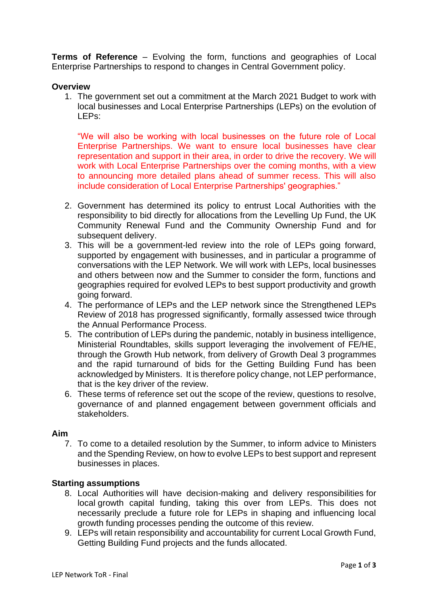**Terms of Reference** – Evolving the form, functions and geographies of Local Enterprise Partnerships to respond to changes in Central Government policy.

## **Overview**

1. The government set out a commitment at the March 2021 Budget to work with local businesses and Local Enterprise Partnerships (LEPs) on the evolution of LEPs:

"We will also be working with local businesses on the future role of Local Enterprise Partnerships. We want to ensure local businesses have clear representation and support in their area, in order to drive the recovery. We will work with Local Enterprise Partnerships over the coming months, with a view to announcing more detailed plans ahead of summer recess. This will also include consideration of Local Enterprise Partnerships' geographies."

- 2. Government has determined its policy to entrust Local Authorities with the responsibility to bid directly for allocations from the Levelling Up Fund, the UK Community Renewal Fund and the Community Ownership Fund and for subsequent delivery.
- 3. This will be a government-led review into the role of LEPs going forward, supported by engagement with businesses, and in particular a programme of conversations with the LEP Network. We will work with LEPs, local businesses and others between now and the Summer to consider the form, functions and geographies required for evolved LEPs to best support productivity and growth going forward.
- 4. The performance of LEPs and the LEP network since the Strengthened LEPs Review of 2018 has progressed significantly, formally assessed twice through the Annual Performance Process.
- 5. The contribution of LEPs during the pandemic, notably in business intelligence, Ministerial Roundtables, skills support leveraging the involvement of FE/HE, through the Growth Hub network, from delivery of Growth Deal 3 programmes and the rapid turnaround of bids for the Getting Building Fund has been acknowledged by Ministers. It is therefore policy change, not LEP performance, that is the key driver of the review.
- 6. These terms of reference set out the scope of the review, questions to resolve, governance of and planned engagement between government officials and stakeholders.

## **Aim**

7. To come to a detailed resolution by the Summer, to inform advice to Ministers and the Spending Review, on how to evolve LEPs to best support and represent businesses in places.

# **Starting assumptions**

- 8. Local Authorities will have decision-making and delivery responsibilities for local growth capital funding, taking this over from LEPs. This does not necessarily preclude a future role for LEPs in shaping and influencing local growth funding processes pending the outcome of this review.
- 9. LEPs will retain responsibility and accountability for current Local Growth Fund, Getting Building Fund projects and the funds allocated.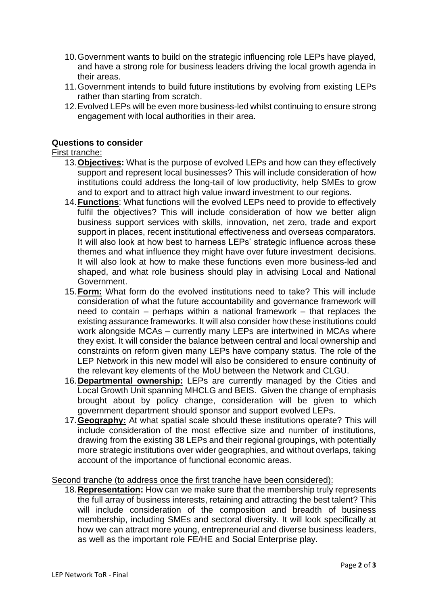- 10.Government wants to build on the strategic influencing role LEPs have played, and have a strong role for business leaders driving the local growth agenda in their areas.
- 11.Government intends to build future institutions by evolving from existing LEPs rather than starting from scratch.
- 12.Evolved LEPs will be even more business-led whilst continuing to ensure strong engagement with local authorities in their area.

# **Questions to consider**

## First tranche:

- 13.**Objectives:** What is the purpose of evolved LEPs and how can they effectively support and represent local businesses? This will include consideration of how institutions could address the long-tail of low productivity, help SMEs to grow and to export and to attract high value inward investment to our regions.
- 14.**Functions**: What functions will the evolved LEPs need to provide to effectively fulfil the objectives? This will include consideration of how we better align business support services with skills, innovation, net zero, trade and export support in places, recent institutional effectiveness and overseas comparators. It will also look at how best to harness LEPs' strategic influence across these themes and what influence they might have over future investment decisions. It will also look at how to make these functions even more business-led and shaped, and what role business should play in advising Local and National Government.
- 15.**Form:** What form do the evolved institutions need to take? This will include consideration of what the future accountability and governance framework will need to contain – perhaps within a national framework – that replaces the existing assurance frameworks. It will also consider how these institutions could work alongside MCAs – currently many LEPs are intertwined in MCAs where they exist. It will consider the balance between central and local ownership and constraints on reform given many LEPs have company status. The role of the LEP Network in this new model will also be considered to ensure continuity of the relevant key elements of the MoU between the Network and CLGU.
- 16.**Departmental ownership:** LEPs are currently managed by the Cities and Local Growth Unit spanning MHCLG and BEIS. Given the change of emphasis brought about by policy change, consideration will be given to which government department should sponsor and support evolved LEPs.
- 17.**Geography:** At what spatial scale should these institutions operate? This will include consideration of the most effective size and number of institutions, drawing from the existing 38 LEPs and their regional groupings, with potentially more strategic institutions over wider geographies, and without overlaps, taking account of the importance of functional economic areas.

Second tranche (to address once the first tranche have been considered):

18.**Representation:** How can we make sure that the membership truly represents the full array of business interests, retaining and attracting the best talent? This will include consideration of the composition and breadth of business membership, including SMEs and sectoral diversity. It will look specifically at how we can attract more young, entrepreneurial and diverse business leaders, as well as the important role FE/HE and Social Enterprise play.